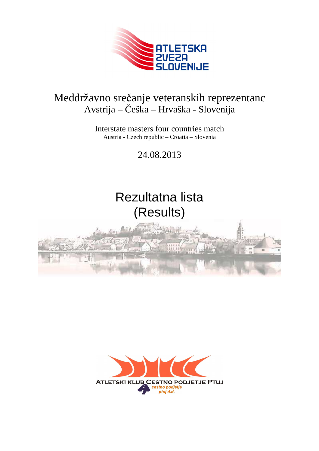

#### Meddržavno srečanje veteranskih reprezentanc Avstrija – Češka – Hrvaška - Slovenija

Interstate masters four countries match Austria - Czech republic – Croatia – Slovenia

24.08.2013

# Rezultatna lista (Results)



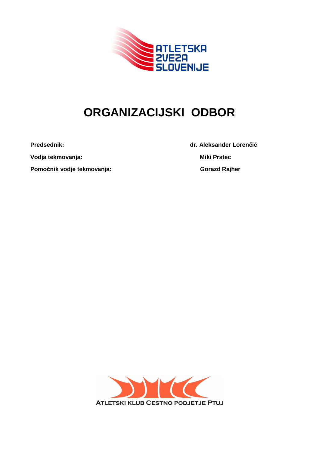

# **ORGANIZACIJSKI ODBOR**

**Vodja tekmovanja:** Miki Prstec

Pomočnik vodje tekmovanja: Gorazd Rajher **Gorazd Rajher Gorazd Rajher** 

**Predsednik: dr. Aleksander Lorenčič** 

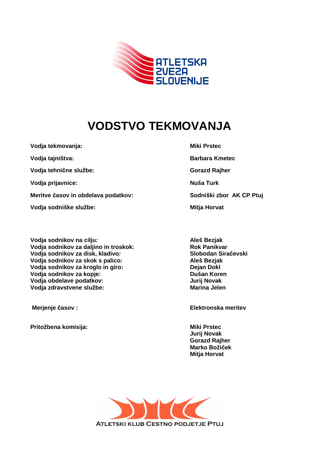

## **VODSTVO TEKMOVANJA**

**Vodja tekmovanja:** Miki Prstec

Vodja tehnične službe: Gorazd Rajher **Gorazd Rajher Gorazd Rajher** 

**Vodja prijavnice:** Nuša Turk **Nuša Turk Nuša Turk** 

**Meritve časov in obdelava podatkov:** Sodniški zbor AK CP Ptuj

Vodja sodniške službe: Mitja Horvat

**Vodja sodnikov na cilju:** Aleš Bezjak Vodja sodnikov za daljino in troskok: Rok Panikvar **Vodja sodnikov za disk, kladivo: Slobodan Siračevski Vodja sodnikov za skok s palico: Aleš Bezjak Vodja sodnikov za kroglo in giro: Dejan Dokl Vodja sodnikov za kopje: Dušan Koren Vodja obdelave podatkov: Vodja zdravstvene službe: Marina Jelen** 

Pritožbena komisija: Wiki Prstec **Miki Prstec** 

**Vodja tajništva:** Barbara Kmetec **Barbara Kmetec** 

 **Merjenje časov : Elektronska meritev** 

**Jurij Novak Gorazd Rajher Marko Božiček Mitja Horvat** 

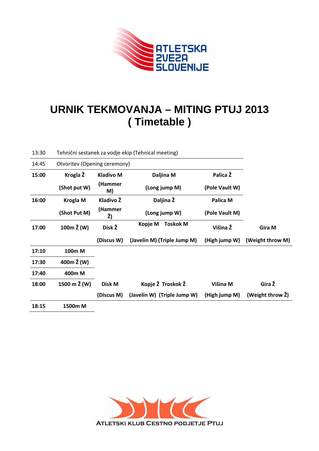

#### **URNIK TEKMOVANJA – MITING PTUJ 2013 ( Timetable )**

| 13:30 |                              |                  | Tehnični sestanek za vodje ekip (Tehnical meeting) |                |                  |
|-------|------------------------------|------------------|----------------------------------------------------|----------------|------------------|
| 14:45 | Otvoritev (Opening ceremony) |                  |                                                    |                |                  |
| 15:00 | Krogla Ž                     | <b>Kladivo M</b> | Daljina M                                          | Palica Ž       |                  |
|       | (Shot put W)                 | (Hammer<br>M)    | (Long jump M)                                      | (Pole Vault W) |                  |
| 16:00 | <b>Krogla M</b>              | Kladivo Ž        | Daljina Ž                                          | Palica M       |                  |
|       | (Shot Put M)                 | (Hammer<br>Ž)    | (Long jump W)                                      | (Pole Vault M) |                  |
| 17:00 | 100m Ž (W)                   | Disk Ž           | <b>Toskok M</b><br>Kopje M                         | Višina Ž       | Gira M           |
|       |                              | (Discus W)       | (Javelin M) (Triple Jump M)                        | (High jump W)  | (Weight throw M) |
| 17:10 | 100m M                       |                  |                                                    |                |                  |
| 17:30 | 400 $m \Sigma$ (W)           |                  |                                                    |                |                  |
| 17:40 | 400m M                       |                  |                                                    |                |                  |
| 18:00 | 1500 m Ž (W)                 | Disk M           | Kopje Ž Troskok Ž                                  | Višina M       | Gira Ž           |
|       |                              | (Discus M)       | (Javelin W) (Triple Jump W)                        | (High jump M)  | (Weight throw Ž) |
| 18:15 | 1500m M                      |                  |                                                    |                |                  |

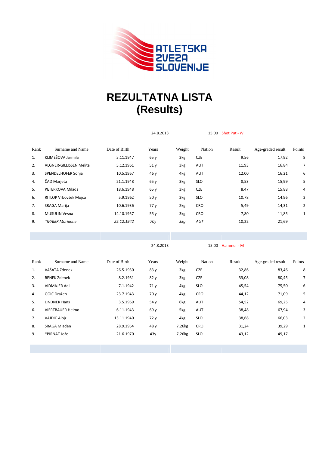

### **REZULTATNA LISTA (Results)**

|      |                         |               | 24.8.2013 |        | 15:00 Shot Put - W |            |                   |                |  |
|------|-------------------------|---------------|-----------|--------|--------------------|------------|-------------------|----------------|--|
| Rank | Surname and Name        | Date of Birth | Years     | Weight | Nation             | Result     | Age-graded result | Points         |  |
| 1.   | KLIMEŠOVA Jarmila       | 5.11.1947     | 65 y      | 3kg    | <b>CZE</b>         | 9,56       | 17,92             | 8              |  |
| 2.   | ALGNER-GILLISSEN Melita | 5.12.1961     | 51y       | 3kg    | AUT                | 11,93      | 16,84             | 7              |  |
| 3.   | SPENDELHOFER Sonja      | 10.5.1967     | 46 y      | 4kg    | AUT                | 12,00      | 16,21             | 6              |  |
| 4.   | ČAD Marjeta             | 21.1.1948     | 65 y      | 3kg    | <b>SLO</b>         | 8,53       | 15,99             | 5              |  |
| 5.   | PETERKOVA Milada        | 18.6.1948     | 65y       | 3kg    | <b>CZE</b>         | 8,47       | 15,88             | 4              |  |
| 6.   | RITLOP Vrbovšek Mojca   | 5.9.1962      | 50y       | 3kg    | <b>SLO</b>         | 10,78      | 14,96             | 3              |  |
| 7.   | SRAGA Marija            | 10.6.1936     | 77 y      | 2kg    | CRO                | 5,49       | 14,31             | $\overline{2}$ |  |
| 8.   | <b>MUSULIN Vesna</b>    | 14.10.1957    | 55 y      | 3kg    | CRO                | 7,80       | 11,85             | $\mathbf{1}$   |  |
| 9.   | *MAIER Marianne         | 25.12.1942    | 70y       | 3kg    | AUT                | 10,22      | 21,69             |                |  |
|      |                         |               |           |        |                    |            |                   |                |  |
|      |                         |               | 24.8.2013 |        | 15:00              | Hammer - M |                   |                |  |
| Rank | Surname and Name        | Date of Birth | Years     | Weight | Nation             | Result     | Age-graded result | Points         |  |

| Rank | Surname and Name        | Date of Birth | Years           | Weight | Nation     | Result | Age-graded result | Points |
|------|-------------------------|---------------|-----------------|--------|------------|--------|-------------------|--------|
| 1.   | VAŠATA Zdenek           | 26.5.1930     | 83y             | 3kg    | <b>CZE</b> | 32,86  | 83,46             | 8      |
| 2.   | <b>BENEK Zdenek</b>     | 8.2.1931      | 82 y            | 3kg    | <b>CZE</b> | 33,08  | 80,45             | 7      |
| 3.   | <b>VIDMAJER Adi</b>     | 7.1.1942      | 71 <sub>V</sub> | 4kg    | <b>SLO</b> | 45,54  | 75,50             | 6      |
| 4.   | GOIČ Dražen             | 23.7.1943     | 70y             | 4kg    | <b>CRO</b> | 44,12  | 71,09             | 5      |
| 5.   | <b>LINDNER Hans</b>     | 3.5.1959      | 54 y            | 6kg    | AUT        | 54,52  | 69,25             | 4      |
| 6.   | <b>VIERTBAUER Heimo</b> | 6.11.1943     | 69 y            | 5kg    | <b>AUT</b> | 38,48  | 67,94             | 3      |
| 7.   | VAJDIČ Alojz            | 13.11.1940    | 72 y            | 4kg    | <b>SLO</b> | 38,68  | 66,03             | 2      |
| 8.   | SRAGA Mladen            | 28.9.1964     | 48 y            | 7,26kg | <b>CRO</b> | 31,24  | 39,29             | 1      |
| 9.   | *PIRNAT Jože            | 21.6.1970     | 43y             | 7,26kg | <b>SLO</b> | 43,12  | 49,17             |        |
|      |                         |               |                 |        |            |        |                   |        |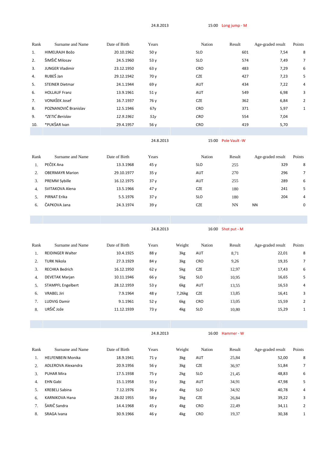24.8.2013 15:00 Long jump - M

| Rank | Surname and Name       | Date of Birth | Years | Nation     | Result | Age-graded result | Points         |
|------|------------------------|---------------|-------|------------|--------|-------------------|----------------|
| 1.   | HIMELRAJH Božo         | 20.10.1962    | 50y   | <b>SLO</b> | 601    | 7,54              | 8              |
| 2.   | ŠIMŠIČ Milosav         | 24.5.1960     | 53 y  | <b>SLO</b> | 574    | 7,49              | $\overline{7}$ |
| 3.   | <b>JUNGER Vladimir</b> | 23.12.1950    | 63y   | <b>CRO</b> | 483    | 7,29              | 6              |
| 4.   | RUBEŠ Jan              | 29.12.1942    | 70 y  | <b>CZE</b> | 427    | 7,23              | 5              |
| 5.   | <b>STEINER Dietmar</b> | 24.1.1944     | 69 y  | <b>AUT</b> | 434    | 7,22              | 4              |
| 6.   | <b>HOLLAUF Franz</b>   | 13.9.1961     | 51y   | AUT        | 549    | 6,98              | 3              |
| 7.   | VONAŠEK Josef          | 16.7.1937     | 76 y  | <b>CZE</b> | 362    | 6,84              | $\overline{2}$ |
| 8.   | POZNANOVIČ Branislav   | 12.5.1946     | 67y   | <b>CRO</b> | 371    | 5,97              | 1              |
| 9.   | *ZETIĆ Berislav        | 12.9.1961     | 51 y  | <b>CRO</b> | 554    | 7,04              |                |
| 10.  | *PUKŠAR Ivan           | 29.4.1957     | 56 y  | <b>CRO</b> | 419    | 5,70              |                |
|      |                        |               |       |            |        |                   |                |

24.8.2013 15:00 Pole Vault -W

| Rank | Surname and Name       | Date of Birth | Years           | Nation     | Result | Age-graded result | Points         |
|------|------------------------|---------------|-----------------|------------|--------|-------------------|----------------|
|      | PEČEK Ana              | 13.3.1968     | 45y             | <b>SLO</b> | 255    | 329               | 8              |
|      | <b>OBERMAYR Marion</b> | 29.10.1977    | 35y             | AUT        | 270    | 296               | $\overline{7}$ |
| 3.   | <b>PREMM Sybille</b>   | 16.12.1975    | 37 <sub>V</sub> | <b>AUT</b> | 255    | 289               | 6              |
| 4.   | SVITAKOVA Alena        | 13.5.1966     | 47y             | <b>CZE</b> | 180    | 241               | 5              |
| 5.   | PIRNAT Erika           | 5.5.1976      | 37 <sub>V</sub> | <b>SLO</b> | 180    | 204               | 4              |
| 6.   | ČAPKOVA Jana           | 24.3.1974     | 39y             | <b>CZE</b> | NN     | <b>NN</b>         | 0              |

24.8.2013 16:00 Shot put - M

| Rank | Surname and Name         | Date of Birth | Years | Weight | Nation     | Result | Age-graded result | Points         |
|------|--------------------------|---------------|-------|--------|------------|--------|-------------------|----------------|
| 1.   | <b>REIDINGER Walter</b>  | 10.4.1925     | 88 y  | 3kg    | AUT        | 8,71   | 22,01             | 8              |
| 2.   | <b>TURK Nikola</b>       | 27.3.1929     | 84 y  | 3kg    | <b>CRO</b> | 9,26   | 19,35             | $\overline{7}$ |
| 3.   | <b>RECHKA Bedrich</b>    | 16.12.1950    | 62y   | 5kg    | <b>CZE</b> | 12,97  | 17,43             | 6              |
| 4.   | <b>DEVETAK Marjan</b>    | 10.11.1946    | 66 y  | 5kg    | <b>SLO</b> | 10,95  | 16,65             | 5              |
| 5.   | <b>STAMPFL Engelbert</b> | 28.12.1959    | 53y   | 6kg    | AUT        | 13,55  | 16,53             | 4              |
| 6.   | <b>VRABEL Jiri</b>       | 7.9.1964      | 48 y  | 7,26kg | <b>CZE</b> | 13,85  | 16,41             | 3              |
| 7.   | <b>LUDVIG Damir</b>      | 9.1.1961      | 52y   | 6kg    | <b>CRO</b> | 13,05  | 15,59             | 2              |
| 8.   | URŠIČ Jože               | 11.12.1939    | 73 y  | 4kg    | <b>SLO</b> | 10,80  | 15,29             | 1              |
|      |                          |               |       |        |            |        |                   |                |

24.8.2013 16:00 Hammer - W

| Rank             | Surname and Name         | Date of Birth | Years           | Weight | Nation     | Result | Age-graded result | Points         |
|------------------|--------------------------|---------------|-----------------|--------|------------|--------|-------------------|----------------|
|                  | <b>HELFENBEIN Monika</b> | 18.9.1941     | 71 <sub>V</sub> | 3kg    | <b>AUT</b> | 25,84  | 52,00             | 8              |
| $2^{1}$          | ADLEROVA Alexandra       | 20.9.1956     | 56 v            | 3kg    | <b>CZE</b> | 36,97  | 51,84             | 7              |
| 3.               | <b>PUHAR Mira</b>        | 17.5.1938     | 75 y            | 2kg    | <b>SLO</b> | 21,45  | 48,83             | 6              |
| $\overline{4}$ . | <b>EHN Gabi</b>          | 15.1.1958     | 55y             | 3kg    | <b>AUT</b> | 34,91  | 47,98             | 5              |
| .5               | KREBELJ Sabina           | 7.12.1976     | 36y             | 4kg    | <b>SLO</b> | 34,92  | 40,78             | 4              |
| 6.               | <b>KARNIKOVA Hana</b>    | 28.02 1955    | 58 v            | 3kg    | <b>CZE</b> | 26,84  | 39,22             | 3              |
| 7.               | ŠARIČ Sandra             | 14.4.1968     | 45y             | 4kg    | <b>CRO</b> | 22,49  | 34,11             | $\overline{2}$ |
| 8.               | SRAGA Ivana              | 30.9.1966     | 46 y            | 4kg    | <b>CRO</b> | 19.37  | 30,38             | 1              |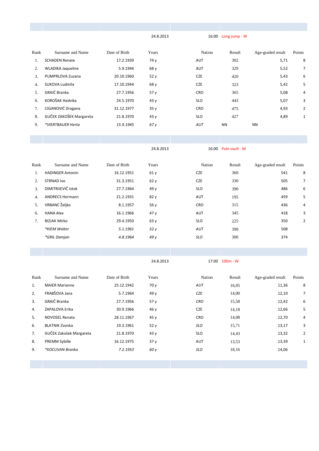24.8.2013 16:00 Long jump - W

| Rank | Surname and Name         | Date of Birth | Years | Nation     | Result    | Age-graded result | Points         |
|------|--------------------------|---------------|-------|------------|-----------|-------------------|----------------|
|      | <b>SCHADEN Renate</b>    | 17.2.1939     | 74 y  | AUT        | 302       | 5,71              | 8              |
| 2.   | <b>WLADIKA Jaqueline</b> | 5.9.1944      | 68 y  | AUT        | 329       | 5,52              | 7              |
| 3.   | PUMPRLOVA Zuzana         | 20.10.1960    | 52y   | <b>CZE</b> | 420       | 5,43              | 6              |
| 4.   | SUKOVA Ludmila           | 17.10.1944    | 68 y  | <b>CZE</b> | 323       | 5,42              | 5              |
| 5.   | GRAIĆ Branka             | 27.7.1956     | 57 y  | <b>CRO</b> | 365       | 5,08              | 4              |
| 6.   | KOROŠAK Hedvika          | 24.5.1970     | 43y   | <b>SLO</b> | 443       | 5,07              | 3              |
|      | CIGANOVIĆ Dragana        | 31.12.1977    | 35y   | <b>CRO</b> | 475       | 4,93              | $\overline{2}$ |
| 8.   | GUČEK ZAKOŠEK Margareta  | 21.8.1970     | 43y   | <b>SLO</b> | 427       | 4,89              | 1              |
| 9.   | *VIERTBAUER Herta        | 15.9.1945     | 67 y  | AUT        | <b>NN</b> | <b>NN</b>         |                |
|      |                          |               |       |            |           |                   |                |

24.8.2013 16:00 Pole vault - M

| Rank | Surname and Name        | Date of Birth | Years | Nation     | Result | Age-graded result | Points         |
|------|-------------------------|---------------|-------|------------|--------|-------------------|----------------|
| 1.   | <b>HADINGER Antonin</b> | 16.12.1951    | 61y   | <b>CZE</b> | 360    | 541               | 8              |
| 2.   | <b>STRNAD Ivo</b>       | 31.3.1951     | 62y   | <b>CZE</b> | 330    | 505               | 7              |
| 3.   | DIMITRIJEVIČ Iztok      | 27.7.1964     | 49 y  | <b>SLO</b> | 390    | 486               | 6              |
| 4.   | <b>ANDRECS Hermann</b>  | 21.2.1931     | 82 y  | <b>AUT</b> | 195    | 459               | 5              |
| 5.   | VRBANC Željko           | 8.1.1957      | 56 y  | <b>CRO</b> | 315    | 436               | 4              |
| 6.   | <b>HANA Alex</b>        | 16.1.1966     | 47y   | <b>AUT</b> | 345    | 418               | 3              |
| 7.   | <b>BIZJAK Mirko</b>     | 29.4.1950     | 63y   | <b>SLO</b> | 225    | 350               | $\overline{2}$ |
|      | *KIEM Walter            | 5.1.1961      | 52 y  | AUT        | 390    | 508               |                |
|      | *GRIL Damjan            | 4.8.1964      | 49y   | <b>SLO</b> | 300    | 374               |                |
|      |                         |               |       |            |        |                   |                |

24.8.2013 17:00 100m - W

| Rank | Surname and Name        | Date of Birth | Years | Nation     | Result | Age-graded result | Points         |
|------|-------------------------|---------------|-------|------------|--------|-------------------|----------------|
| 1.   | <b>MAIER Marianne</b>   | 25.12.1942    | 70 y  | AUT        | 16,05  | 11,36             | 8              |
| 2.   | FRABŠOVA Jana           | 5.7.1964      | 49 y  | <b>CZE</b> | 14,00  | 12,10             | 7              |
| 3.   | GRAIČ Branka            | 27.7.1956     | 57y   | <b>CRO</b> | 15.58  | 12,42             | 6              |
| 4.   | ZAPALOVA Erika          | 30.9.1966     | 46 y  | <b>CZE</b> | 14,18  | 12,66             | 5              |
| 5.   | <b>NOVOSEL Renata</b>   | 28.11.1967    | 45y   | <b>CRO</b> | 14,08  | 12,70             | 4              |
| 6.   | <b>BLATNIK Zvonka</b>   | 19.3.1961     | 52y   | <b>SLO</b> | 15,71  | 13,17             | 3              |
| 7.   | GUČEK Zakošek Margareta | 21.8.1970     | 43y   | <b>SLO</b> | 14,43  | 13,32             | $\overline{2}$ |
| 8.   | <b>PREMM Sybille</b>    | 16.12.1975    | 37y   | AUT        | 13,53  | 13,39             | 1              |
| 9.   | *KOCUVAN Branka         | 7.2.1953      | 60 y  | <b>SLO</b> | 18,16  | 14,06             |                |
|      |                         |               |       |            |        |                   |                |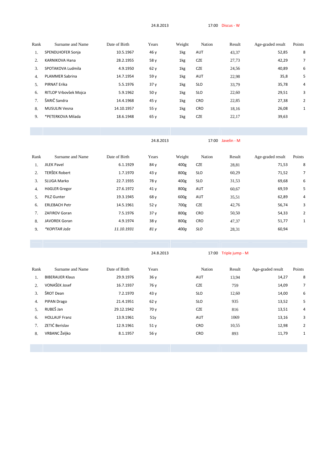24.8.2013 17:00 Discus - W

| Rank | Surname and Name       | Date of Birth | Years | Weight | Nation     | Result | Age-graded result | Points |
|------|------------------------|---------------|-------|--------|------------|--------|-------------------|--------|
| 1.   | SPENDLHOFER Sonja      | 10.5.1967     | 46 y  | 1kg    | <b>AUT</b> | 43,37  | 52,85             | 8      |
| 2.   | <b>KARNIKOVA Hana</b>  | 28.2.1955     | 58 y  | 1kg    | <b>CZE</b> | 27,73  | 42,29             | 7      |
| 3.   | SPOTAKOVA Ludmila      | 4.9.1950      | 62y   | 1kg    | <b>CZE</b> | 24,56  | 40,89             | 6      |
| 4.   | <b>PLAMMER Sabrina</b> | 14.7.1954     | 59 y  | 1kg    | <b>AUT</b> | 22,98  | 35,8              | 5      |
| 5.   | PIRNAT Erika           | 5.5.1976      | 37y   | 1kg    | <b>SLO</b> | 33,79  | 35,78             | 4      |
| 6.   | RITLOP Vrbovšek Mojca  | 5.9.1962      | 50y   | 1kg    | <b>SLO</b> | 22,60  | 29,51             | 3      |
| 7.   | ŠARIČ Sandra           | 14.4.1968     | 45 y  | 1kg    | <b>CRO</b> | 22,85  | 27,38             | 2      |
| 8.   | <b>MUSULIN Vesna</b>   | 14.10.1957    | 55y   | 1kg    | <b>CRO</b> | 18,16  | 26,08             | 1      |
| 9.   | *PETERKOVA Milada      | 18.6.1948     | 65 y  | 1kg    | <b>CZE</b> | 22,17  | 39,63             |        |
|      |                        |               |       |        |            |        |                   |        |

|      |                      |               | 24.8.2013 |                  | 17:00 Javelin - M |        |                   |                |  |
|------|----------------------|---------------|-----------|------------------|-------------------|--------|-------------------|----------------|--|
| Rank | Surname and Name     | Date of Birth | Years     | Weight           | Nation            | Result | Age-graded result | Points         |  |
| 1.   | <b>JILEK Pavel</b>   | 6.1.1929      | 84 y      | 400 <sub>g</sub> | <b>CZE</b>        | 28,81  | 71,53             | 8              |  |
| 2.   | <b>TERŠEK Robert</b> | 1.7.1970      | 43y       | 800g             | <b>SLO</b>        | 60,29  | 71,52             | 7              |  |
| 3.   | <b>SLUGA Marko</b>   | 22.7.1935     | 78 y      | 400g             | <b>SLO</b>        | 31,53  | 69,68             | 6              |  |
| 4.   | HöGLER Gregor        | 27.6.1972     | 41 y      | 800g             | AUT               | 60,67  | 69,59             | 5              |  |
| 5.   | <b>PILZ Gunter</b>   | 19.3.1945     | 68 y      | 600g             | AUT               | 35,51  | 62,89             | 4              |  |
| 6.   | <b>ERLEBACH Petr</b> | 14.5.1961     | 52y       | 700g             | <b>CZE</b>        | 42,76  | 56,74             | 3              |  |
| 7.   | <b>ZAFIROV Goran</b> | 7.5.1976      | 37y       | 800g             | <b>CRO</b>        | 50,50  | 54,33             | $\overline{2}$ |  |
| 8.   | <b>JAVOREK Goran</b> | 4.9.1974      | 38 y      | 800g             | <b>CRO</b>        | 47,37  | 51,77             | 1              |  |
| 9.   | *KOPITAR Jože        | 11.10.1931    | 81 y      | 400 <sub>a</sub> | SLO               | 28,31  | 60,94             |                |  |

24.8.2013 17:00 Triple jump - M

| Rank | Surname and Name       | Date of Birth | Years | Nation     | Result | Age-graded result | Points         |
|------|------------------------|---------------|-------|------------|--------|-------------------|----------------|
| 1.   | <b>BIBERAUER Klaus</b> | 29.9.1976     | 36y   | <b>AUT</b> | 13,94  | 14,27             | 8              |
| 2.   | VONAŠEK Josef          | 16.7.1937     | 76 y  | <b>CZE</b> | 759    | 14,09             | $\overline{7}$ |
| 3.   | ŠROT Dean              | 7.2.1970      | 43y   | <b>SLO</b> | 12,60  | 14,00             | 6              |
| 4.   | PIPAN Drago            | 21.4.1951     | 62y   | <b>SLO</b> | 935    | 13,52             | 5              |
| 5.   | RUBEŠ Jan              | 29.12.1942    | 70y   | <b>CZE</b> | 816    | 13,51             | 4              |
| 6.   | <b>HOLLAUF Franz</b>   | 13.9.1961     | 51y   | <b>AUT</b> | 1069   | 13,16             | 3              |
|      | ZETIĆ Berislav         | 12.9.1961     | 51y   | <b>CRO</b> | 10,55  | 12,98             | $\overline{2}$ |
| 8.   | VRBANC Željko          | 8.1.1957      | 56y   | <b>CRO</b> | 893    | 11,79             | 1              |
|      |                        |               |       |            |        |                   |                |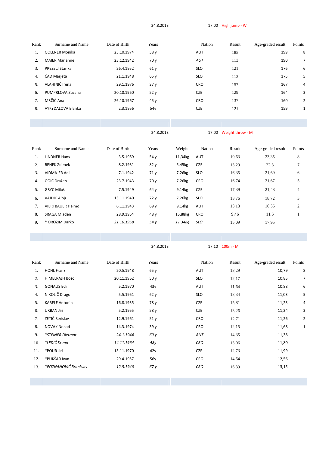24.8.2013 17:00 High jump - W

| Rank | Surname and Name      | Date of Birth | Years | Nation     | Result | Age-graded result | Points         |
|------|-----------------------|---------------|-------|------------|--------|-------------------|----------------|
| 1.   | <b>GOLLNER Monika</b> | 23.10.1974    | 38 y  | <b>AUT</b> | 185    | 199               | 8              |
| 2.   | <b>MAIER Marianne</b> | 25.12.1942    | 70y   | AUT        | 113    | 190               | 7              |
| 3.   | PREZELJ Stanka        | 26.4.1952     | 61y   | <b>SLO</b> | 121    | 176               | 6              |
| 4.   | ČAD Marjeta           | 21.1.1948     | 65y   | <b>SLO</b> | 113    | 175               | 5              |
| 5.   | VLAHINIĆ Irena        | 29.1.1976     | 37y   | <b>CRO</b> | 157    | 167               | $\overline{4}$ |
| 6.   | PUMPRLOVA Zuzana      | 20.10.1960    | 52y   | <b>CZE</b> | 129    | 164               | 3              |
|      | MRČIČ Ana             | 26.10.1967    | 45y   | <b>CRO</b> | 137    | 160               | $\overline{2}$ |
| 8.   | VYKYDALOVA Blanka     | 2.3.1956      | 54y   | <b>CZE</b> | 121    | 159               | 1              |
|      |                       |               |       |            |        |                   |                |

24.8.2013 17:00 Weight throw - M

| Rank | Surname and Name        | Date of Birth | Years | Weight  | Nation     | Result | Age-graded result | Points |
|------|-------------------------|---------------|-------|---------|------------|--------|-------------------|--------|
| 1.   | <b>LINDNER Hans</b>     | 3.5.1959      | 54y   | 11,34kg | AUT        | 19,63  | 23,35             | 8      |
| 2.   | <b>BENEK Zdenek</b>     | 8.2.1931      | 82y   | 5,45kg  | <b>CZE</b> | 13,29  | 22,3              |        |
| 3.   | <b>VIDMAJER Adi</b>     | 7.1.1942      | 71y   | 7,26kg  | <b>SLO</b> | 16,35  | 21,69             | 6      |
| 4.   | GOIĆ Dražen             | 23.7.1943     | 70y   | 7,26kg  | <b>CRO</b> | 16,74  | 21,67             | 5      |
| 5.   | <b>GRYC Miloš</b>       | 7.5.1949      | 64 y  | 9,14kg  | <b>CZE</b> | 17,39  | 21,48             | 4      |
| 6.   | VAJDIČ Alojz            | 13.11.1940    | 72 y  | 7,26kg  | <b>SLO</b> | 13,76  | 18,72             | 3      |
| 7.   | <b>VIERTBAUER Heimo</b> | 6.11.1943     | 69 y  | 9,14kg  | AUT        | 13,13  | 16,35             | 2      |
| 8.   | SRAGA Mladen            | 28.9.1964     | 48 y  | 15,88kg | <b>CRO</b> | 9,46   | 11,6              |        |
| 9.   | * OROŽIM Darko          | 21.10.1958    | 54 y  | 11,34kg | <b>SLO</b> | 15,09  | 17,95             |        |
|      |                         |               |       |         |            |        |                   |        |

24.8.2013 17:10 100m - M

| Rank | Surname and Name      | Date of Birth | Years | Nation     | Result | Age-graded result | Points         |
|------|-----------------------|---------------|-------|------------|--------|-------------------|----------------|
| 1.   | <b>HOHL Franz</b>     | 20.5.1948     | 65y   | AUT        | 13,29  | 10,79             | 8              |
| 2.   | HIMELRAJH Božo        | 20.11.1962    | 50y   | <b>SLO</b> | 12,17  | 10,85             | 7              |
| 3.   | <b>GONAUS Edi</b>     | 5.2.1970      | 43y   | AUT        | 11,64  | 10,88             | 6              |
| 4.   | NIKOLIČ Drago         | 5.5.1951      | 62y   | <b>SLO</b> | 13,34  | 11,03             | 5              |
| 5.   | <b>KABELE Antonin</b> | 16.8.1935     | 78 y  | <b>CZE</b> | 15,81  | 11,23             | 4              |
| 6.   | <b>URBAN Jiri</b>     | 5.2.1955      | 58 y  | <b>CZE</b> | 13,26  | 11,24             | 3              |
| 7.   | ZETIĆ Berislav        | 12.9.1961     | 51y   | <b>CRO</b> | 12,71  | 11,26             | $\overline{2}$ |
| 8.   | <b>NOVAK Nenad</b>    | 14.3.1974     | 39 y  | <b>CRO</b> | 12,15  | 11,68             | $\mathbf{1}$   |
| 9.   | *STEINER Dietmar      | 24.1.1944     | 69 y  | AUT        | 14,35  | 11,38             |                |
| 10.  | *LEDIĆ Kruno          | 14.11.1964    | 48y   | <b>CRO</b> | 13,06  | 11,80             |                |
| 11.  | *POUR Jiri            | 13.11.1970    | 42y   | <b>CZE</b> | 12,73  | 11,99             |                |
| 12.  | *PUKŠAR Ivan          | 29.4.1957     | 56y   | <b>CRO</b> | 14,64  | 12,56             |                |
| 13.  | *POZNANOVIĆ Branislav | 12.5.1946     | 67y   | CRO        | 16,39  | 13,15             |                |
|      |                       |               |       |            |        |                   |                |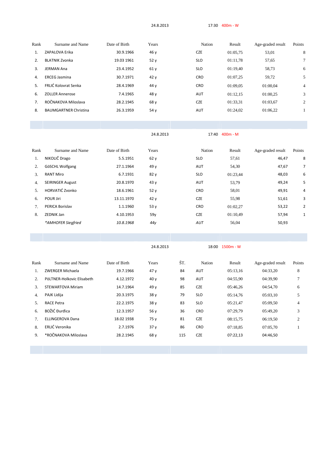24.8.2013 17:30 400m - W

| Rank | Surname and Name             | Date of Birth | Years | Nation     | Result   | Age-graded result | Points         |
|------|------------------------------|---------------|-------|------------|----------|-------------------|----------------|
| 1.   | ZAPALOVA Erika               | 30.9.1966     | 46 y  | <b>CZE</b> | 01:05.75 | 53,01             | 8              |
| 2.   | <b>BLATNIK Zvonka</b>        | 19.03 1961    | 52y   | <b>SLO</b> | 01:11.78 | 57,65             | 7              |
| 3.   | <b>JERMAN Ana</b>            | 23.4.1952     | 61 y  | <b>SLO</b> | 01:19.40 | 58,73             | 6              |
| 4.   | <b>ERCEG Jasmina</b>         | 30.7.1971     | 42y   | <b>CRO</b> | 01:07.25 | 59,72             | 5              |
| 5.   | FRLIĆ Kolovrat Senka         | 28.4.1969     | 44 y  | <b>CRO</b> | 01:09.05 | 01:00.04          | $\overline{4}$ |
| 6.   | <b>ZOLLER Annerose</b>       | 7.4.1965      | 48 y  | AUT        | 01:12,15 | 01:00.25          | 3              |
| 7.   | ROČNAKOVA Miloslava          | 28.2.1945     | 68 y  | <b>CZE</b> | 01:33,31 | 01:03.67          | $\overline{2}$ |
| 8.   | <b>BAUMGARTNER Christina</b> | 26.3.1959     | 54 y  | AUT        | 01:24,02 | 01:06.22          |                |
|      |                              |               |       |            |          |                   |                |

24.8.2013 17:40 400m - M

| Rank | Surname and Name        | Date of Birth | Years           | Nation     | Result   | Age-graded result | Points         |
|------|-------------------------|---------------|-----------------|------------|----------|-------------------|----------------|
| 1.   | NIKOLIČ Drago           | 5.5.1951      | 62y             | <b>SLO</b> | 57,61    | 46,47             | 8              |
| 2.   | GöSCHL Wolfgang         | 27.1.1964     | 49 y            | <b>AUT</b> | 54,30    | 47,67             | $\overline{7}$ |
| 3.   | <b>RANT Miro</b>        | 6.7.1931      | 82y             | <b>SLO</b> | 01:23,44 | 48,03             | 6              |
| 4.   | <b>SEIRINGER August</b> | 20.8.1970     | 43y             | <b>AUT</b> | 53,79    | 49,24             | 5              |
| 5.   | HORVATIĆ Zvonko         | 18.6.1961     | 52y             | <b>CRO</b> | 58,01    | 49,91             | 4              |
| 6.   | POUR Jiri               | 13.11.1970    | 42y             | <b>CZE</b> | 55,98    | 51,61             | 3              |
| 7.   | PERICA Borislav         | 1.1.1960      | 53y             | <b>CRO</b> | 01:02,27 | 53,22             | $\overline{2}$ |
| 8.   | <b>ZEDNIK Jan</b>       | 4.10.1953     | 59y             | <b>CZE</b> | 01:10,49 | 57,94             | $\mathbf{1}$   |
|      | *AMHOFER Siegfried      | 10.8.1968     | 44 <sub>V</sub> | AUT        | 56,04    | 50,93             |                |
|      |                         |               |                 |            |          |                   |                |

24.8.2013 18:00 1500m - W

| Rank | Surname and Name           | Date of Birth | Years | ŠΤ. | Nation     | Result   | Age-graded result | Points |
|------|----------------------------|---------------|-------|-----|------------|----------|-------------------|--------|
| 1.   | ZWERGER Michaela           | 19.7.1966     | 47y   | 84  | <b>AUT</b> | 05:13.16 | 04:33.20          | 8      |
| 2.   | PöLTNER-Holkovic Elisabeth | 4.12.1972     | 40y   | 98  | <b>AUT</b> | 04:55.90 | 04:39.90          |        |
| 3.   | <b>STEWARTOVA Miriam</b>   | 14.7.1964     | 49 y  | 85  | <b>CZE</b> | 05:46.26 | 04:54,70          | 6      |
| 4.   | PAJK Lidija                | 20.3.1975     | 38y   | 79  | <b>SLO</b> | 05:14.76 | 05:03.10          |        |
| 5.   | <b>RACE Petra</b>          | 22.2.1975     | 38y   | 83  | <b>SLO</b> | 05:21,47 | 05:09.50          | 4      |
| 6.   | BOŽIĆ Đurđica              | 12.3.1957     | 56 y  | 36  | <b>CRO</b> | 07:29.79 | 05:49.20          | 3      |
| 7.   | <b>ELLINGEROVA Dana</b>    | 18.02 1938    | 75 y  | 81  | <b>CZE</b> | 08:15.75 | 06:19.50          | 2      |
| 8.   | ERLIĆ Veronika             | 2.7.1976      | 37y   | 86  | <b>CRO</b> | 07:18.85 | 07:05.70          |        |
| 9.   | *ROČNAKOVA Miloslava       | 28.2.1945     | 68 y  | 115 | <b>CZE</b> | 07:22,13 | 04:46,50          |        |
|      |                            |               |       |     |            |          |                   |        |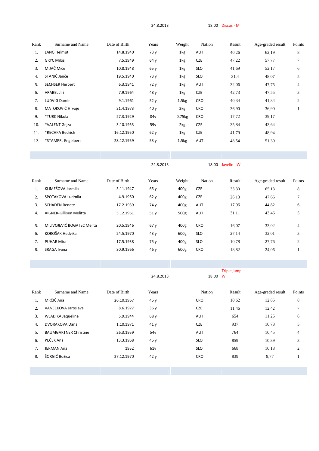24.8.2013 18:00 Discus - M

| Rank | Surname and Name       | Date of Birth | Years | Weight | Nation     | Result | Age-graded result | Points |
|------|------------------------|---------------|-------|--------|------------|--------|-------------------|--------|
| 1.   | LANG Helmut            | 14.8.1940     | 73 y  | 1kg    | AUT        | 40,26  | 62,19             | 8      |
| 2.   | <b>GRYC Miloš</b>      | 7.5.1949      | 64 y  | 1kg    | <b>CZE</b> | 47,22  | 57,77             | $\tau$ |
| 3.   | MIJAČ Miče             | 10.8.1948     | 65y   | 1kg    | <b>SLO</b> | 41,69  | 52,17             | 6      |
| 4.   | STANIČ Janče           | 19.5.1940     | 73 y  | 1kg    | <b>SLO</b> | 31,4   | 48,07             | 5      |
| 5.   | <b>SECHSER Herbert</b> | 6.3.1941      | 72 y  | 1kg    | AUT        | 32,06  | 47,75             | 4      |
| 6.   | <b>VRABEL Jiri</b>     | 7.9.1964      | 48 y  | 1kg    | <b>CZE</b> | 42,73  | 47,55             | 3      |
| 7.   | <b>LUDVIG Damir</b>    | 9.1.1961      | 52 y  | 1,5kg  | CRO        | 40,34  | 41,84             | 2      |
| 8.   | MATOKOVIĆ Hrvoje       | 21.4.1973     | 40y   | 2kg    | <b>CRO</b> | 36,90  | 36,90             |        |
| 9.   | *TURK Nikola           | 27.3.1929     | 84y   | 0,75kg | <b>CRO</b> | 17,72  | 39,17             |        |
| 10.  | *VALENT Gejza          | 3.10.1953     | 59y   | 2kg    | <b>CZE</b> | 35,84  | 43,64             |        |
| 11.  | *RECHKA Bedrich        | 16.12.1950    | 62 y  | 1kg    | CZE        | 41,79  | 48,94             |        |
| 12.  | *STAMPFL Engelbert     | 28.12.1959    | 53 y  | 1,5kg  | AUT        | 48,54  | 51,30             |        |
|      |                        |               |       |        |            |        |                   |        |
|      |                        |               |       |        |            |        |                   |        |

Rank Surname and Name Date of Birth Years Weight Nation Result Age-graded result Points 1. KLIMEŠOVA Jarmila 5.11.1947 65 y 400g CZE 33,30 65,13 8 2. SPOTAKOVA Ludmila 4.9.1950 62 y 400g CZE 26,13 47,66 7 3. SCHADEN Renate 17.2.1939 74 y 400g AUT 17,96 44,82 6 4. AIGNER-Gillisen Melitta 5.12.1961 51 y 500g AUT 31,11 43,46 5 5. MILIVOJEVIĆ BOGATEC Melita  $20.5.1946$  67 y  $400g$  CRO  $16,07$   $33,02$  4 6. KOROŠAK Hedvika 24.5.1970 43 y 600g SLO 27,14 32,01 3 7. PUHAR Mira 17.5.1938 75 y 400g SLO 10,78 27,76 2 8. SRAGA Ivana 30.9.1966 46 y 600g CRO 18,82 24,06 1

24.8.2013 18:00 Javelin - W

|      |                              |               |           |            | Triple jump - |                   |        |
|------|------------------------------|---------------|-----------|------------|---------------|-------------------|--------|
|      |                              |               | 24.8.2013 | 18:00 W    |               |                   |        |
|      |                              |               |           |            |               |                   |        |
| Rank | Surname and Name             | Date of Birth | Years     | Nation     | Result        | Age-graded result | Points |
| 1.   | MRČIČ Ana                    | 26.10.1967    | 45y       | <b>CRO</b> | 10,62         | 12,85             | 8      |
| 2.   | VANEČKOVA Jaroslava          | 8.6.1977      | 36y       | <b>CZE</b> | 11,46         | 12,42             | 7      |
| 3.   | <b>WLADIKA Jaqueline</b>     | 5.9.1944      | 68 y      | AUT        | 654           | 11,25             | 6      |
| 4.   | <b>DVORAKOVA Dana</b>        | 1.10.1971     | 41y       | <b>CZE</b> | 937           | 10,78             | 5      |
| 5.   | <b>BAUMGARTNER Christine</b> | 26.3.1959     | 54y       | AUT        | 764           | 10,45             | 4      |
| 6.   | PEČEK Ana                    | 13.3.1968     | 45y       | <b>SLO</b> | 859           | 10,39             | 3      |
| 7.   | <b>JERMAN Ana</b>            | 1952          | 61y       | <b>SLO</b> | 668           | 10,18             | 2      |
| 8.   | ŠORGIĆ Božica                | 27.12.1970    | 42 y      | <b>CRO</b> | 839           | 9,77              |        |
|      |                              |               |           |            |               |                   |        |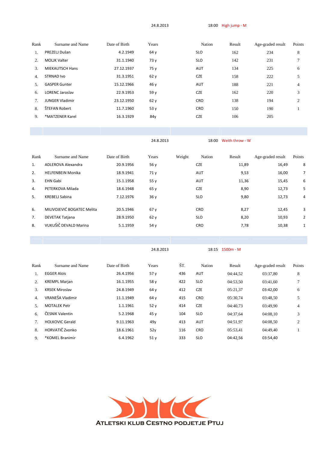24.8.2013 18:00 High jump - M

| Rank | Surname and Name       | Date of Birth | Years | Nation     | Result | Age-graded result | Points |
|------|------------------------|---------------|-------|------------|--------|-------------------|--------|
| 1.   | PREZELJ Dušan          | 4.2.1949      | 64 y  | <b>SLO</b> | 162    | 234               | 8      |
| 2.   | <b>MOLIK Valter</b>    | 31.1.1940     | 73 y  | <b>SLO</b> | 142    | 231               |        |
| 3.   | <b>MIEKAUTSCH Hans</b> | 27.12.1937    | 75 y  | AUT        | 134    | 225               | 6      |
| 4.   | <b>STRNAD Ivo</b>      | 31.3.1951     | 62y   | <b>CZE</b> | 158    | 222               | 5      |
| 5.   | <b>GASPER Gunter</b>   | 15.12.1966    | 46 y  | <b>AUT</b> | 188    | 221               | 4      |
| 6.   | <b>LORENC Jaroslav</b> | 22.9.1953     | 59 y  | <b>CZE</b> | 162    | 220               | 3      |
| 7.   | <b>JUNGER Vladimir</b> | 23.12.1950    | 62y   | <b>CRO</b> | 138    | 194               | 2      |
| 8.   | ŠTEFAN Robert          | 11.7.1960     | 53y   | <b>CRO</b> | 150    | 190               |        |
| 9.   | *MATZENER Karel        | 16.3.1929     | 84y   | <b>CZE</b> | 106    | 205               |        |
|      |                        |               |       |            |        |                   |        |

24.8.2013 18:00 Weith throw - W

| Rank | Surname and Name           | Date of Birth | Years | Weight | Nation     | Result | Age-graded result | Points         |
|------|----------------------------|---------------|-------|--------|------------|--------|-------------------|----------------|
|      |                            |               |       |        |            |        |                   |                |
| 1.   | ADLEROVA Alexandra         | 20.9.1956     | 56 y  |        | <b>CZE</b> | 11,89  | 16,49             | 8              |
| 2.   | <b>HELFENBEIN Monika</b>   | 18.9.1941     | 71 y  |        | <b>AUT</b> | 9,53   | 16,00             | $\overline{7}$ |
| 3.   | <b>EHN Gabi</b>            | 15.1.1958     | 55 y  |        | <b>AUT</b> | 11,36  | 15,45             | 6              |
| 4.   | PETERKOVA Milada           | 18.6.1948     | 65 y  |        | <b>CZE</b> | 8,90   | 12,73             | 5              |
| 5.   | KREBELJ Sabina             | 7.12.1976     | 36y   |        | <b>SLO</b> | 9,80   | 12,73             | 4              |
|      |                            |               |       |        |            |        |                   |                |
| 6.   | MILIVOJEVIĆ BOGATEC Melita | 20.5.1946     | 67y   |        | <b>CRO</b> | 8,27   | 12,45             | 3              |
| 7.   | <b>DEVETAK Tatjana</b>     | 28.9.1950     | 62y   |        | <b>SLO</b> | 8,20   | 10,93             | $\overline{2}$ |
| 8.   | VUKUŠIČ DEVALD Marina      | 5.1.1959      | 54 y  |        | <b>CRO</b> | 7,78   | 10,38             | 1              |
|      |                            |               |       |        |            |        |                   |                |

24.8.2013 18:15 1500m - M

| Rank | Surname and Name       | Date of Birth | Years           | ŠT. | Nation     | Result   | Age-graded result | Points         |
|------|------------------------|---------------|-----------------|-----|------------|----------|-------------------|----------------|
|      | <b>EGGER Alois</b>     | 26.4.1956     | 57y             | 436 | <b>AUT</b> | 04:44.52 | 03:37.80          | 8              |
| 2.   | <b>KREMPL Marjan</b>   | 16.1.1955     | 58 y            | 422 | <b>SLO</b> | 04:53,50 | 03:41.60          |                |
| 3.   | <b>KRSEK Miroslav</b>  | 24.8.1949     | 64 y            | 412 | <b>CZE</b> | 05:21.37 | 03:42,00          | 6              |
| 4.   | VRANEŠA Vladimir       | 11.1.1949     | 64 y            | 415 | <b>CRO</b> | 05:30.74 | 03:48.50          | 5              |
| 5.   | <b>MOTALEK Petr</b>    | 1.1.1961      | 52y             | 414 | <b>CZE</b> | 04:40.73 | 03:49.90          | 4              |
| б.   | ČESNIK Valentin        | 5.2.1968      | 45 y            | 104 | <b>SLO</b> | 04:37.64 | 04:08.10          | 3              |
|      | <b>HOLKOVIC Gerald</b> | 9.11.1963     | 49 <sub>V</sub> | 413 | <b>AUT</b> | 04:51.97 | 04:08.50          | $\overline{2}$ |
| 8.   | HORVATIČ Zvonko        | 18.6.1961     | 52y             | 116 | <b>CRO</b> | 05:53,41 | 04:49.40          |                |
| 9.   | *KOMEL Branimir        | 6.4.1962      | 51 <sub>v</sub> | 333 | <b>SLO</b> | 04:42.56 | 03:54.40          |                |